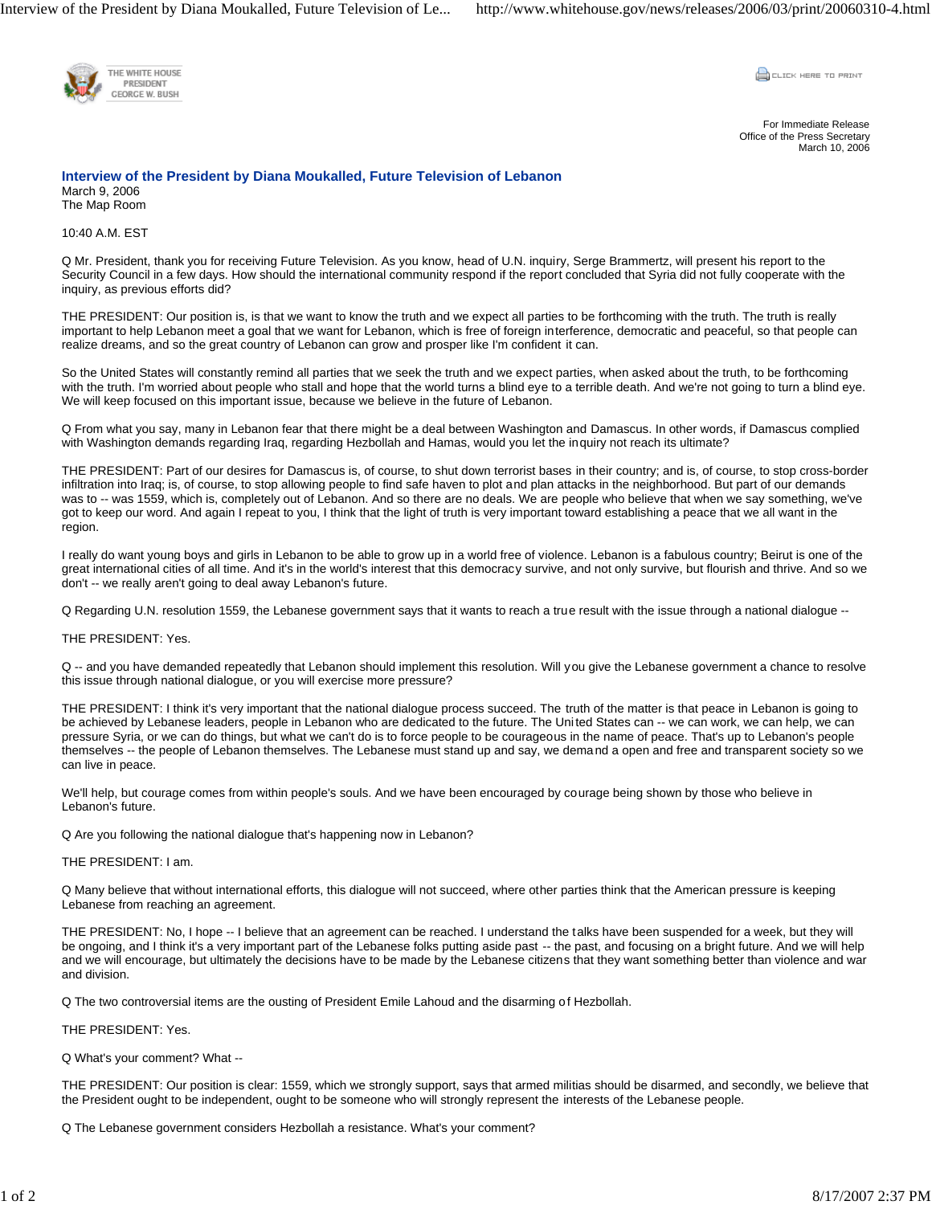Interview of the President by Diana Moukalled, Future Television of Le... http://www.whitehouse.gov/news/releases/2006/03/print/20060310-4.html



CLICK HERE TO PRINT

For Immediate Release Office of the Press Secretary March 10, 2006

### **Interview of the President by Diana Moukalled, Future Television of Lebanon**  March 9, 2006 The Map Room

10:40 A.M. EST

Q Mr. President, thank you for receiving Future Television. As you know, head of U.N. inquiry, Serge Brammertz, will present his report to the Security Council in a few days. How should the international community respond if the report concluded that Syria did not fully cooperate with the inquiry, as previous efforts did?

THE PRESIDENT: Our position is, is that we want to know the truth and we expect all parties to be forthcoming with the truth. The truth is really important to help Lebanon meet a goal that we want for Lebanon, which is free of foreign interference, democratic and peaceful, so that people can realize dreams, and so the great country of Lebanon can grow and prosper like I'm confident it can.

So the United States will constantly remind all parties that we seek the truth and we expect parties, when asked about the truth, to be forthcoming with the truth. I'm worried about people who stall and hope that the world turns a blind eye to a terrible death. And we're not going to turn a blind eye. We will keep focused on this important issue, because we believe in the future of Lebanon.

Q From what you say, many in Lebanon fear that there might be a deal between Washington and Damascus. In other words, if Damascus complied with Washington demands regarding Iraq, regarding Hezbollah and Hamas, would you let the inquiry not reach its ultimate?

THE PRESIDENT: Part of our desires for Damascus is, of course, to shut down terrorist bases in their country; and is, of course, to stop cross-border infiltration into Iraq; is, of course, to stop allowing people to find safe haven to plot and plan attacks in the neighborhood. But part of our demands was to -- was 1559, which is, completely out of Lebanon. And so there are no deals. We are people who believe that when we say something, we've got to keep our word. And again I repeat to you, I think that the light of truth is very important toward establishing a peace that we all want in the region.

I really do want young boys and girls in Lebanon to be able to grow up in a world free of violence. Lebanon is a fabulous country; Beirut is one of the great international cities of all time. And it's in the world's interest that this democracy survive, and not only survive, but flourish and thrive. And so we don't -- we really aren't going to deal away Lebanon's future.

Q Regarding U.N. resolution 1559, the Lebanese government says that it wants to reach a true result with the issue through a national dialogue --

#### THE PRESIDENT: Yes.

Q -- and you have demanded repeatedly that Lebanon should implement this resolution. Will you give the Lebanese government a chance to resolve this issue through national dialogue, or you will exercise more pressure?

THE PRESIDENT: I think it's very important that the national dialogue process succeed. The truth of the matter is that peace in Lebanon is going to be achieved by Lebanese leaders, people in Lebanon who are dedicated to the future. The United States can -- we can work, we can help, we can pressure Syria, or we can do things, but what we can't do is to force people to be courageous in the name of peace. That's up to Lebanon's people themselves -- the people of Lebanon themselves. The Lebanese must stand up and say, we demand a open and free and transparent society so we can live in peace.

We'll help, but courage comes from within people's souls. And we have been encouraged by courage being shown by those who believe in Lebanon's future.

Q Are you following the national dialogue that's happening now in Lebanon?

### THE PRESIDENT: I am.

Q Many believe that without international efforts, this dialogue will not succeed, where other parties think that the American pressure is keeping Lebanese from reaching an agreement.

THE PRESIDENT: No, I hope -- I believe that an agreement can be reached. I understand the talks have been suspended for a week, but they will be ongoing, and I think it's a very important part of the Lebanese folks putting aside past -- the past, and focusing on a bright future. And we will help and we will encourage, but ultimately the decisions have to be made by the Lebanese citizens that they want something better than violence and war and division.

Q The two controversial items are the ousting of President Emile Lahoud and the disarming of Hezbollah.

# THE PRESIDENT: Yes.

# Q What's your comment? What --

THE PRESIDENT: Our position is clear: 1559, which we strongly support, says that armed militias should be disarmed, and secondly, we believe that the President ought to be independent, ought to be someone who will strongly represent the interests of the Lebanese people.

Q The Lebanese government considers Hezbollah a resistance. What's your comment?